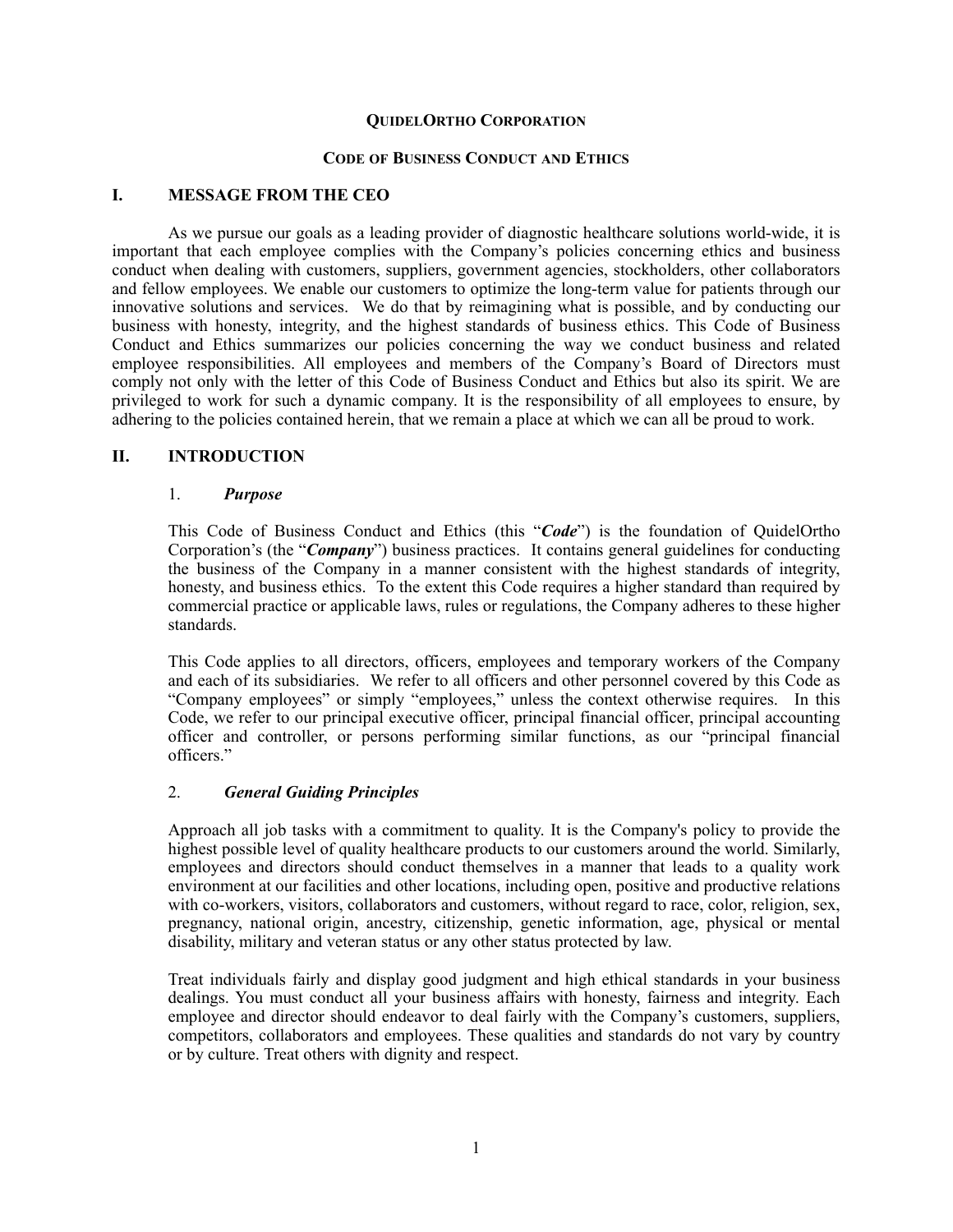### **QUIDELORTHO CORPORATION**

### **CODE OF BUSINESS CONDUCT AND ETHICS**

#### **I. MESSAGE FROM THE CEO**

As we pursue our goals as a leading provider of diagnostic healthcare solutions world-wide, it is important that each employee complies with the Company's policies concerning ethics and business conduct when dealing with customers, suppliers, government agencies, stockholders, other collaborators and fellow employees. We enable our customers to optimize the long-term value for patients through our innovative solutions and services. We do that by reimagining what is possible, and by conducting our business with honesty, integrity, and the highest standards of business ethics. This Code of Business Conduct and Ethics summarizes our policies concerning the way we conduct business and related employee responsibilities. All employees and members of the Company's Board of Directors must comply not only with the letter of this Code of Business Conduct and Ethics but also its spirit. We are privileged to work for such a dynamic company. It is the responsibility of all employees to ensure, by adhering to the policies contained herein, that we remain a place at which we can all be proud to work.

### **II. INTRODUCTION**

### 1. *Purpose*

This Code of Business Conduct and Ethics (this "*Code*") is the foundation of QuidelOrtho Corporation's (the "*Company*") business practices. It contains general guidelines for conducting the business of the Company in a manner consistent with the highest standards of integrity, honesty, and business ethics. To the extent this Code requires a higher standard than required by commercial practice or applicable laws, rules or regulations, the Company adheres to these higher standards.

This Code applies to all directors, officers, employees and temporary workers of the Company and each of its subsidiaries. We refer to all officers and other personnel covered by this Code as "Company employees" or simply "employees," unless the context otherwise requires. In this Code, we refer to our principal executive officer, principal financial officer, principal accounting officer and controller, or persons performing similar functions, as our "principal financial officers."

## 2. *General Guiding Principles*

Approach all job tasks with a commitment to quality. It is the Company's policy to provide the highest possible level of quality healthcare products to our customers around the world. Similarly, employees and directors should conduct themselves in a manner that leads to a quality work environment at our facilities and other locations, including open, positive and productive relations with co-workers, visitors, collaborators and customers, without regard to race, color, religion, sex, pregnancy, national origin, ancestry, citizenship, genetic information, age, physical or mental disability, military and veteran status or any other status protected by law.

Treat individuals fairly and display good judgment and high ethical standards in your business dealings. You must conduct all your business affairs with honesty, fairness and integrity. Each employee and director should endeavor to deal fairly with the Company's customers, suppliers, competitors, collaborators and employees. These qualities and standards do not vary by country or by culture. Treat others with dignity and respect.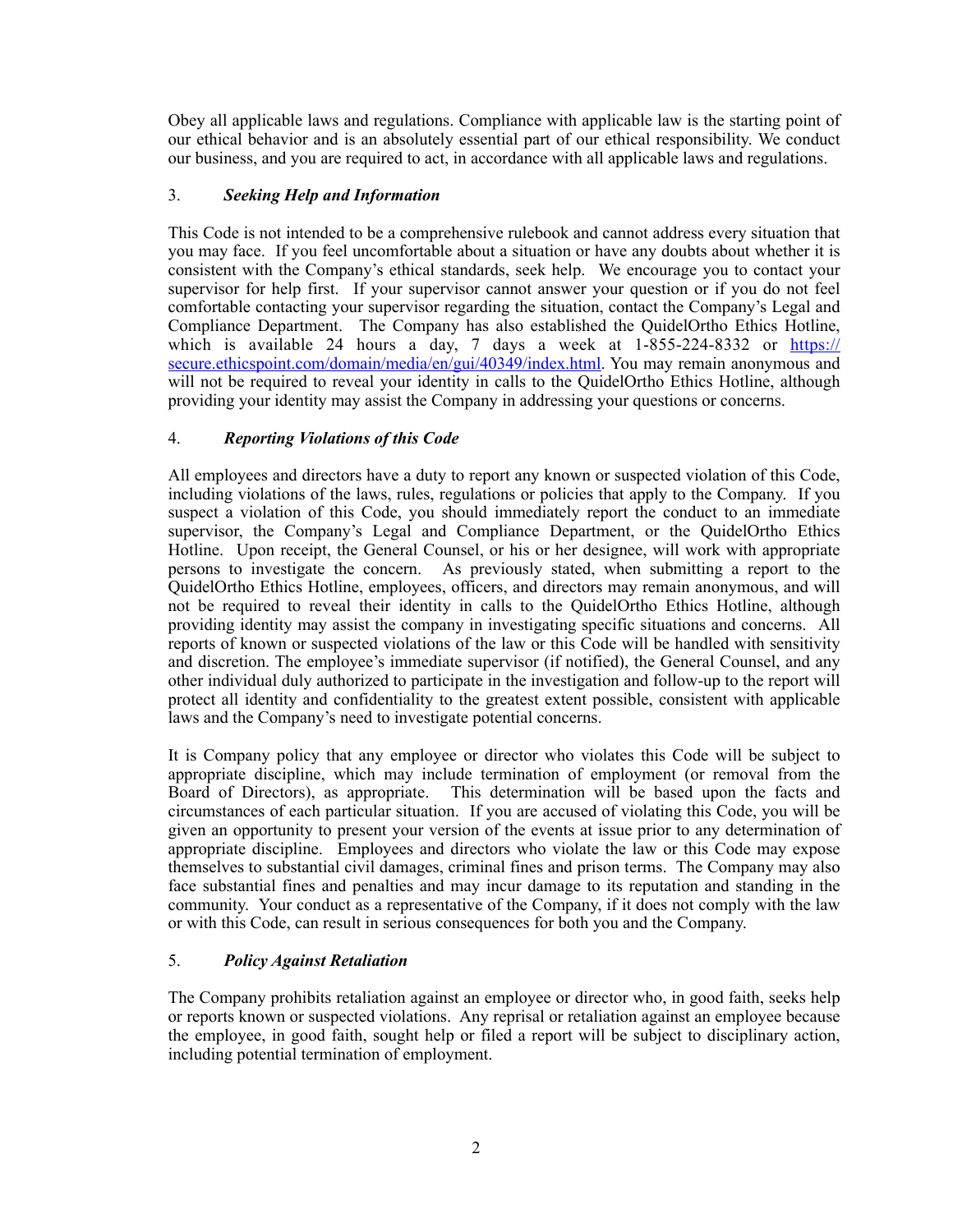Obey all applicable laws and regulations. Compliance with applicable law is the starting point of our ethical behavior and is an absolutely essential part of our ethical responsibility. We conduct our business, and you are required to act, in accordance with all applicable laws and regulations.

# 3. *Seeking Help and Information*

This Code is not intended to be a comprehensive rulebook and cannot address every situation that you may face. If you feel uncomfortable about a situation or have any doubts about whether it is consistent with the Company's ethical standards, seek help. We encourage you to contact your supervisor for help first. If your supervisor cannot answer your question or if you do not feel comfortable contacting your supervisor regarding the situation, contact the Company's Legal and Compliance Department. The Company has also established the QuidelOrtho Ethics Hotline, which is available 24 hours a day, 7 days a week at  $1-\frac{855-224-8332}{8}$  or [https://](https://secure.ethicspoint.com/domain/media/en/gui/40349/index.html) [secure.ethicspoint.com/domain/media/en/gui/40349/index.html](https://secure.ethicspoint.com/domain/media/en/gui/40349/index.html). You may remain anonymous and will not be required to reveal your identity in calls to the QuidelOrtho Ethics Hotline, although providing your identity may assist the Company in addressing your questions or concerns.

## 4. *Reporting Violations of this Code*

All employees and directors have a duty to report any known or suspected violation of this Code, including violations of the laws, rules, regulations or policies that apply to the Company. If you suspect a violation of this Code, you should immediately report the conduct to an immediate supervisor, the Company's Legal and Compliance Department, or the QuidelOrtho Ethics Hotline. Upon receipt, the General Counsel, or his or her designee, will work with appropriate persons to investigate the concern. As previously stated, when submitting a report to the QuidelOrtho Ethics Hotline, employees, officers, and directors may remain anonymous, and will not be required to reveal their identity in calls to the QuidelOrtho Ethics Hotline, although providing identity may assist the company in investigating specific situations and concerns.All reports of known or suspected violations of the law or this Code will be handled with sensitivity and discretion. The employee's immediate supervisor (if notified), the General Counsel, and any other individual duly authorized to participate in the investigation and follow-up to the report will protect all identity and confidentiality to the greatest extent possible, consistent with applicable laws and the Company's need to investigate potential concerns.

It is Company policy that any employee or director who violates this Code will be subject to appropriate discipline, which may include termination of employment (or removal from the Board of Directors), as appropriate. This determination will be based upon the facts and circumstances of each particular situation. If you are accused of violating this Code, you will be given an opportunity to present your version of the events at issue prior to any determination of appropriate discipline. Employees and directors who violate the law or this Code may expose themselves to substantial civil damages, criminal fines and prison terms. The Company may also face substantial fines and penalties and may incur damage to its reputation and standing in the community. Your conduct as a representative of the Company, if it does not comply with the law or with this Code, can result in serious consequences for both you and the Company.

## 5. *Policy Against Retaliation*

The Company prohibits retaliation against an employee or director who, in good faith, seeks help or reports known or suspected violations. Any reprisal or retaliation against an employee because the employee, in good faith, sought help or filed a report will be subject to disciplinary action, including potential termination of employment.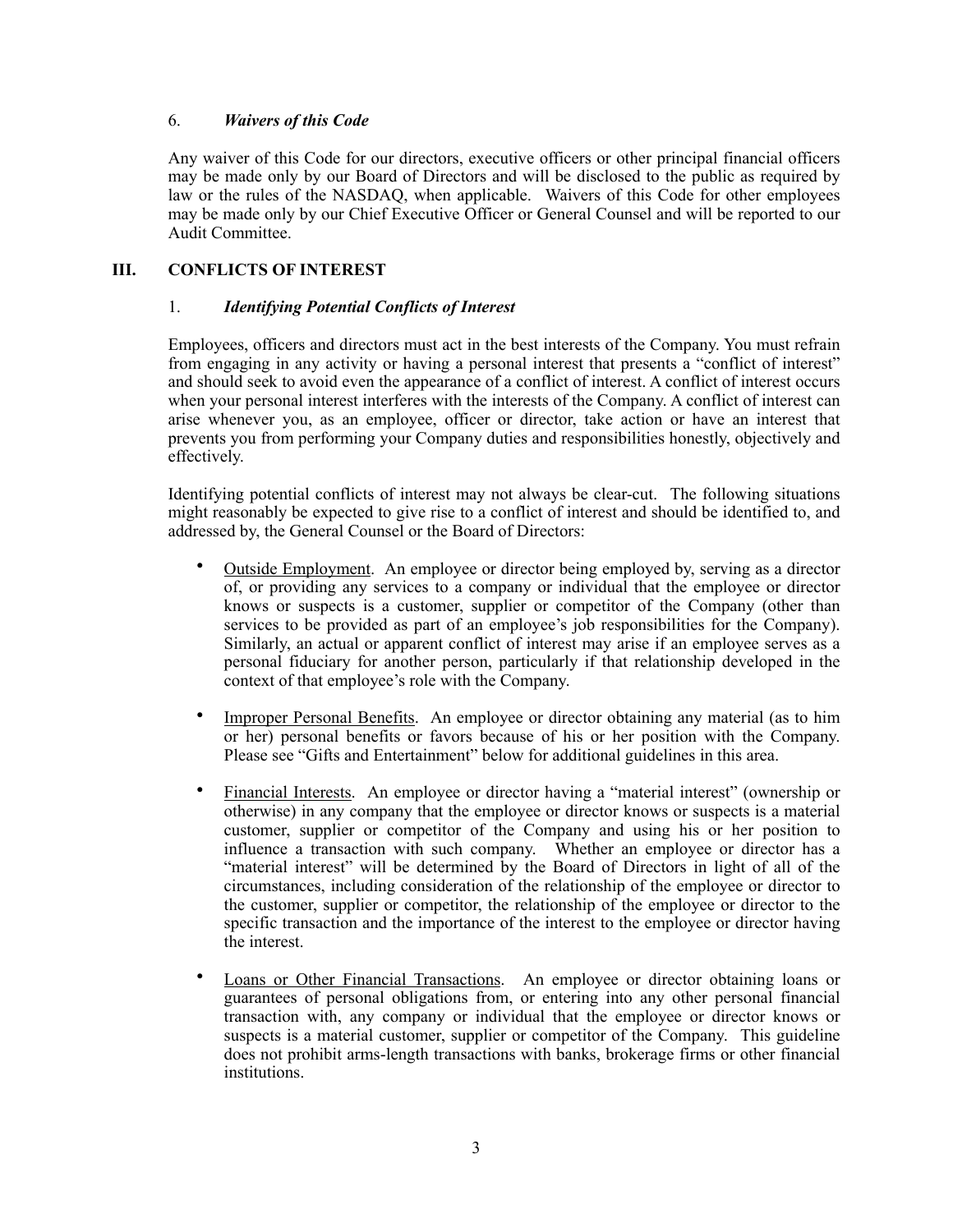## 6. *Waivers of this Code*

Any waiver of this Code for our directors, executive officers or other principal financial officers may be made only by our Board of Directors and will be disclosed to the public as required by law or the rules of the NASDAQ, when applicable. Waivers of this Code for other employees may be made only by our Chief Executive Officer or General Counsel and will be reported to our Audit Committee.

# **III. CONFLICTS OF INTEREST**

### 1. *Identifying Potential Conflicts of Interest*

Employees, officers and directors must act in the best interests of the Company. You must refrain from engaging in any activity or having a personal interest that presents a "conflict of interest" and should seek to avoid even the appearance of a conflict of interest. A conflict of interest occurs when your personal interest interferes with the interests of the Company. A conflict of interest can arise whenever you, as an employee, officer or director, take action or have an interest that prevents you from performing your Company duties and responsibilities honestly, objectively and effectively.

Identifying potential conflicts of interest may not always be clear-cut. The following situations might reasonably be expected to give rise to a conflict of interest and should be identified to, and addressed by, the General Counsel or the Board of Directors:

- Outside Employment. An employee or director being employed by, serving as a director of, or providing any services to a company or individual that the employee or director knows or suspects is a customer, supplier or competitor of the Company (other than services to be provided as part of an employee's job responsibilities for the Company). Similarly, an actual or apparent conflict of interest may arise if an employee serves as a personal fiduciary for another person, particularly if that relationship developed in the context of that employee's role with the Company.
- Improper Personal Benefits. An employee or director obtaining any material (as to him or her) personal benefits or favors because of his or her position with the Company. Please see "Gifts and Entertainment" below for additional guidelines in this area.
- Financial Interests. An employee or director having a "material interest" (ownership or otherwise) in any company that the employee or director knows or suspects is a material customer, supplier or competitor of the Company and using his or her position to influence a transaction with such company. Whether an employee or director has a "material interest" will be determined by the Board of Directors in light of all of the circumstances, including consideration of the relationship of the employee or director to the customer, supplier or competitor, the relationship of the employee or director to the specific transaction and the importance of the interest to the employee or director having the interest.
- Loans or Other Financial Transactions. An employee or director obtaining loans or guarantees of personal obligations from, or entering into any other personal financial transaction with, any company or individual that the employee or director knows or suspects is a material customer, supplier or competitor of the Company. This guideline does not prohibit arms-length transactions with banks, brokerage firms or other financial institutions.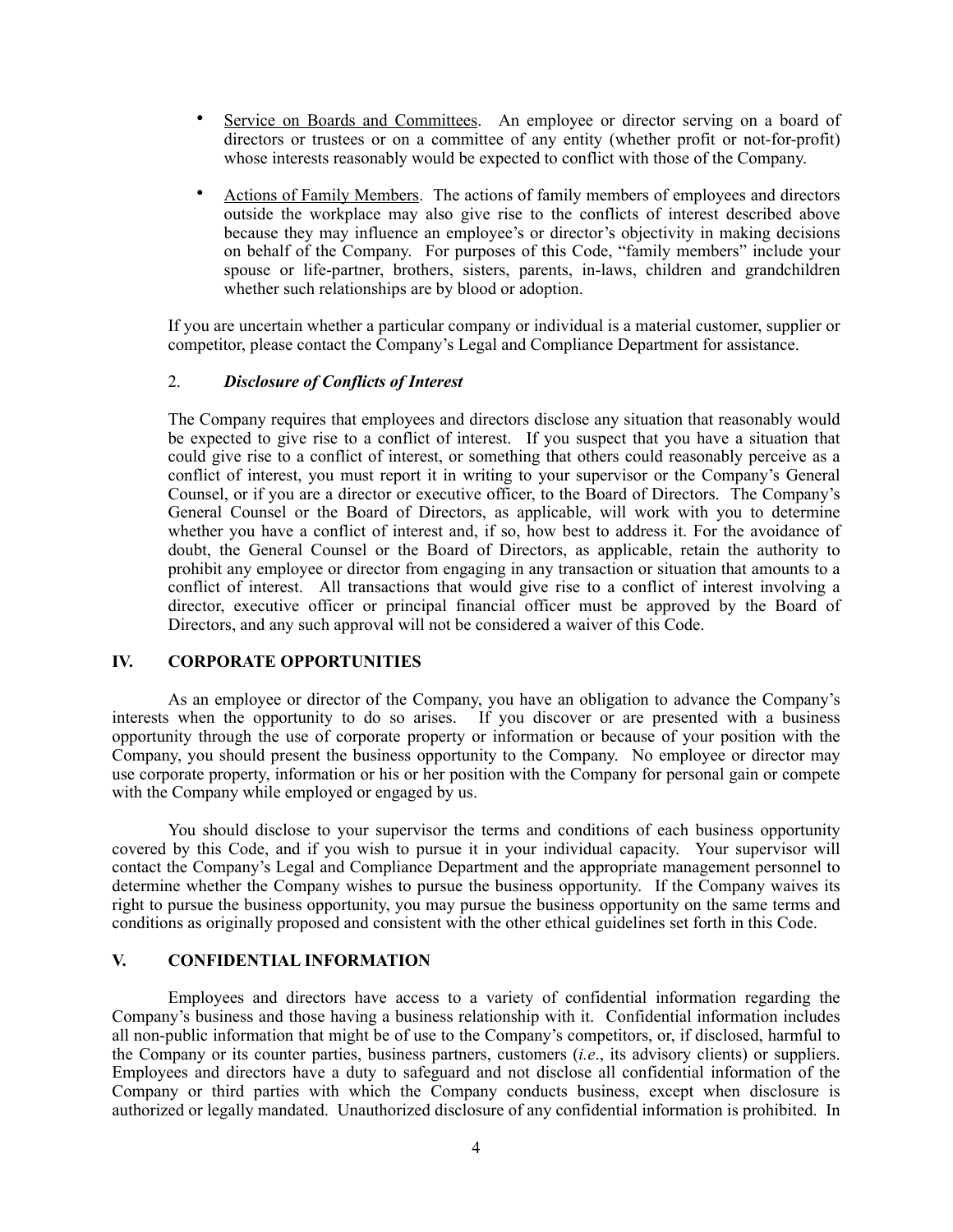- Service on Boards and Committees. An employee or director serving on a board of directors or trustees or on a committee of any entity (whether profit or not-for-profit) whose interests reasonably would be expected to conflict with those of the Company.
- Actions of Family Members. The actions of family members of employees and directors outside the workplace may also give rise to the conflicts of interest described above because they may influence an employee's or director's objectivity in making decisions on behalf of the Company. For purposes of this Code, "family members" include your spouse or life-partner, brothers, sisters, parents, in-laws, children and grandchildren whether such relationships are by blood or adoption.

If you are uncertain whether a particular company or individual is a material customer, supplier or competitor, please contact the Company's Legal and Compliance Department for assistance.

### 2. *Disclosure of Conflicts of Interest*

The Company requires that employees and directors disclose any situation that reasonably would be expected to give rise to a conflict of interest. If you suspect that you have a situation that could give rise to a conflict of interest, or something that others could reasonably perceive as a conflict of interest, you must report it in writing to your supervisor or the Company's General Counsel, or if you are a director or executive officer, to the Board of Directors. The Company's General Counsel or the Board of Directors, as applicable, will work with you to determine whether you have a conflict of interest and, if so, how best to address it. For the avoidance of doubt, the General Counsel or the Board of Directors, as applicable, retain the authority to prohibit any employee or director from engaging in any transaction or situation that amounts to a conflict of interest. All transactions that would give rise to a conflict of interest involving a director, executive officer or principal financial officer must be approved by the Board of Directors, and any such approval will not be considered a waiver of this Code.

#### **IV. CORPORATE OPPORTUNITIES**

As an employee or director of the Company, you have an obligation to advance the Company's interests when the opportunity to do so arises. If you discover or are presented with a business opportunity through the use of corporate property or information or because of your position with the Company, you should present the business opportunity to the Company. No employee or director may use corporate property, information or his or her position with the Company for personal gain or compete with the Company while employed or engaged by us.

You should disclose to your supervisor the terms and conditions of each business opportunity covered by this Code, and if you wish to pursue it in your individual capacity. Your supervisor will contact the Company's Legal and Compliance Department and the appropriate management personnel to determine whether the Company wishes to pursue the business opportunity. If the Company waives its right to pursue the business opportunity, you may pursue the business opportunity on the same terms and conditions as originally proposed and consistent with the other ethical guidelines set forth in this Code.

# **V. CONFIDENTIAL INFORMATION**

Employees and directors have access to a variety of confidential information regarding the Company's business and those having a business relationship with it. Confidential information includes all non-public information that might be of use to the Company's competitors, or, if disclosed, harmful to the Company or its counter parties, business partners, customers (*i.e*., its advisory clients) or suppliers. Employees and directors have a duty to safeguard and not disclose all confidential information of the Company or third parties with which the Company conducts business, except when disclosure is authorized or legally mandated. Unauthorized disclosure of any confidential information is prohibited. In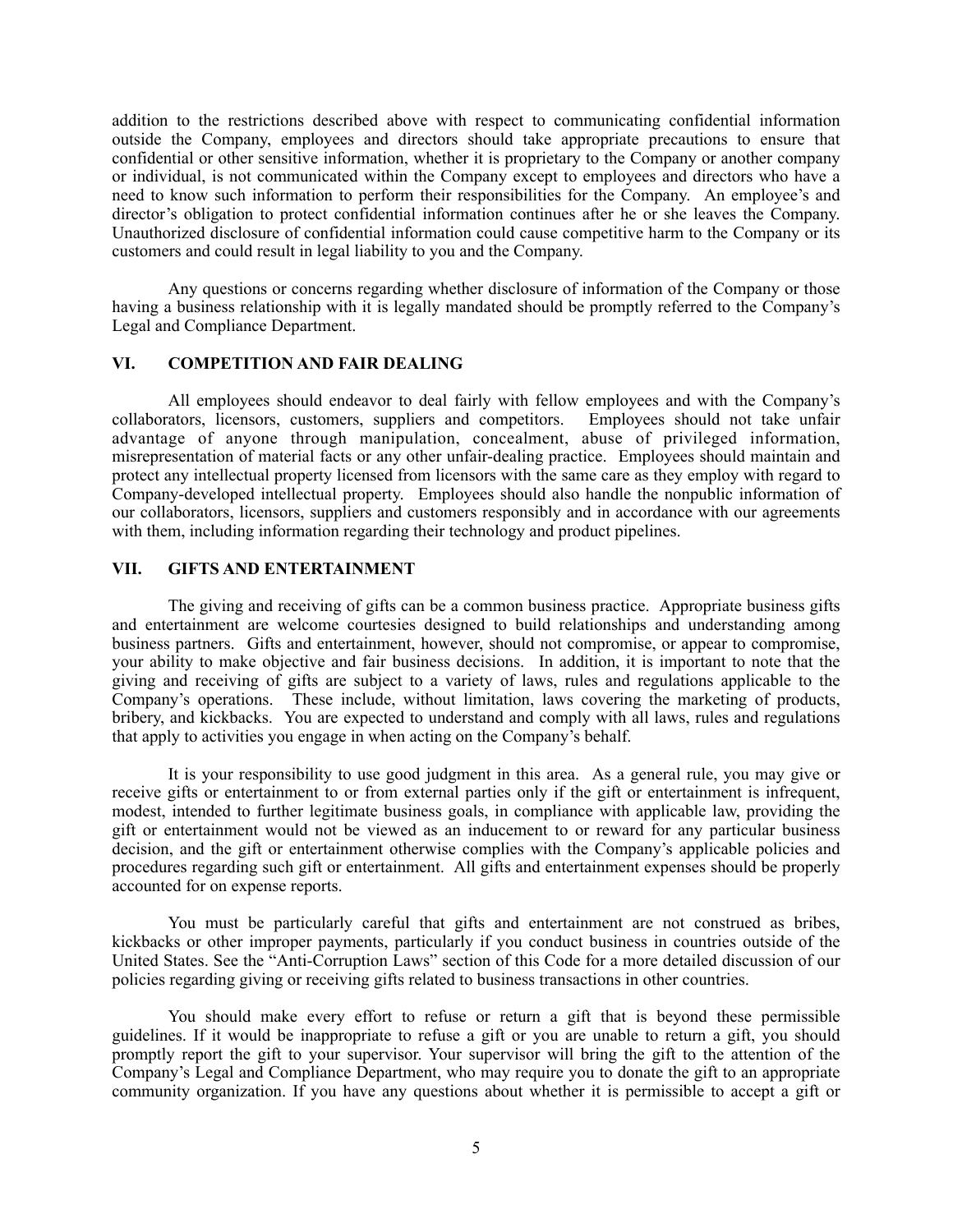addition to the restrictions described above with respect to communicating confidential information outside the Company, employees and directors should take appropriate precautions to ensure that confidential or other sensitive information, whether it is proprietary to the Company or another company or individual, is not communicated within the Company except to employees and directors who have a need to know such information to perform their responsibilities for the Company. An employee's and director's obligation to protect confidential information continues after he or she leaves the Company. Unauthorized disclosure of confidential information could cause competitive harm to the Company or its customers and could result in legal liability to you and the Company.

Any questions or concerns regarding whether disclosure of information of the Company or those having a business relationship with it is legally mandated should be promptly referred to the Company's Legal and Compliance Department.

### **VI. COMPETITION AND FAIR DEALING**

All employees should endeavor to deal fairly with fellow employees and with the Company's collaborators, licensors, customers, suppliers and competitors. Employees should not take unfair advantage of anyone through manipulation, concealment, abuse of privileged information, misrepresentation of material facts or any other unfair-dealing practice. Employees should maintain and protect any intellectual property licensed from licensors with the same care as they employ with regard to Company-developed intellectual property. Employees should also handle the nonpublic information of our collaborators, licensors, suppliers and customers responsibly and in accordance with our agreements with them, including information regarding their technology and product pipelines.

### **VII. GIFTS AND ENTERTAINMENT**

The giving and receiving of gifts can be a common business practice. Appropriate business gifts and entertainment are welcome courtesies designed to build relationships and understanding among business partners. Gifts and entertainment, however, should not compromise, or appear to compromise, your ability to make objective and fair business decisions. In addition, it is important to note that the giving and receiving of gifts are subject to a variety of laws, rules and regulations applicable to the Company's operations. These include, without limitation, laws covering the marketing of products, bribery, and kickbacks. You are expected to understand and comply with all laws, rules and regulations that apply to activities you engage in when acting on the Company's behalf.

It is your responsibility to use good judgment in this area. As a general rule, you may give or receive gifts or entertainment to or from external parties only if the gift or entertainment is infrequent, modest, intended to further legitimate business goals, in compliance with applicable law, providing the gift or entertainment would not be viewed as an inducement to or reward for any particular business decision, and the gift or entertainment otherwise complies with the Company's applicable policies and procedures regarding such gift or entertainment. All gifts and entertainment expenses should be properly accounted for on expense reports.

You must be particularly careful that gifts and entertainment are not construed as bribes, kickbacks or other improper payments, particularly if you conduct business in countries outside of the United States. See the "Anti-Corruption Laws" section of this Code for a more detailed discussion of our policies regarding giving or receiving gifts related to business transactions in other countries.

You should make every effort to refuse or return a gift that is beyond these permissible guidelines. If it would be inappropriate to refuse a gift or you are unable to return a gift, you should promptly report the gift to your supervisor. Your supervisor will bring the gift to the attention of the Company's Legal and Compliance Department, who may require you to donate the gift to an appropriate community organization. If you have any questions about whether it is permissible to accept a gift or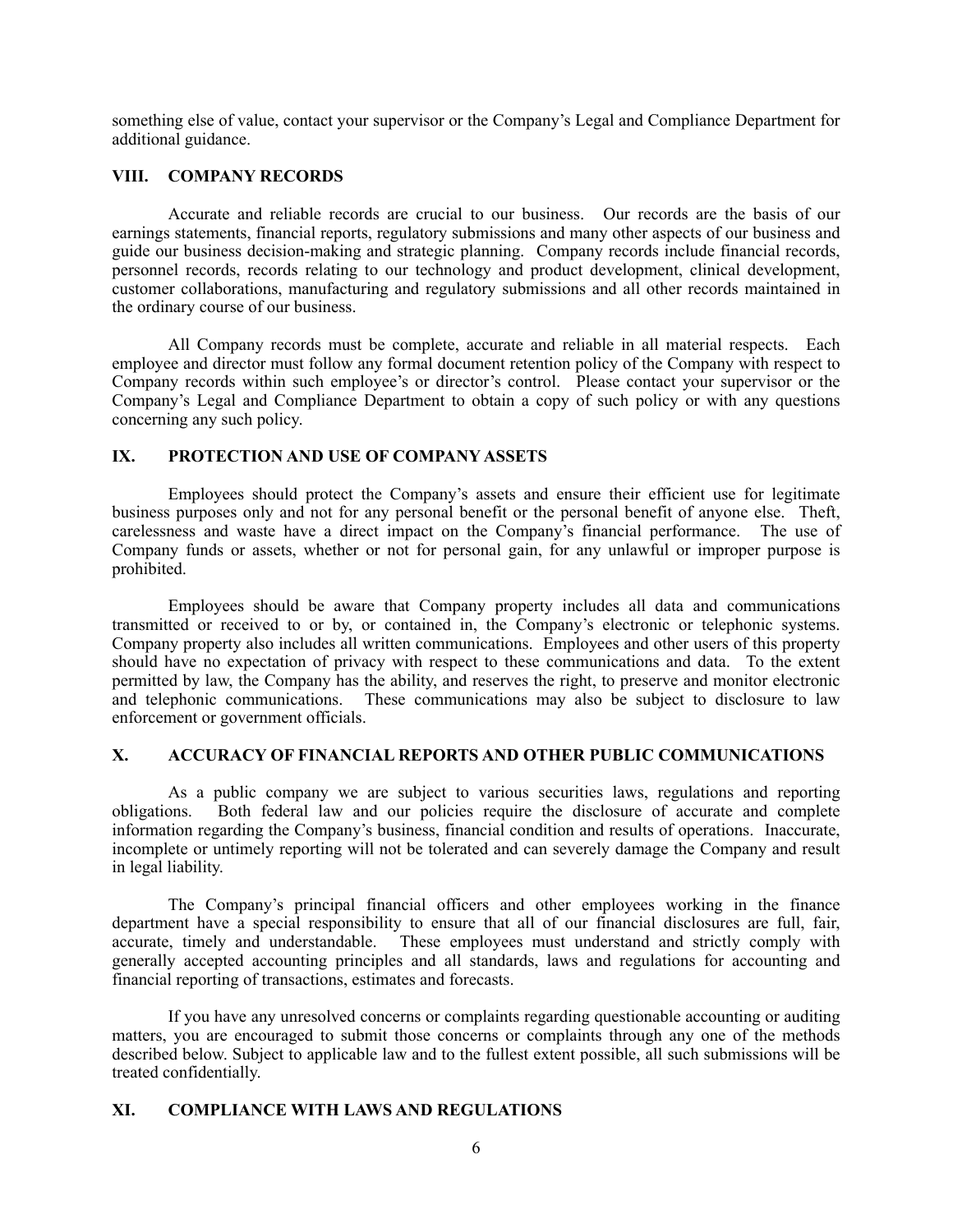something else of value, contact your supervisor or the Company's Legal and Compliance Department for additional guidance.

## **VIII. COMPANY RECORDS**

Accurate and reliable records are crucial to our business. Our records are the basis of our earnings statements, financial reports, regulatory submissions and many other aspects of our business and guide our business decision-making and strategic planning. Company records include financial records, personnel records, records relating to our technology and product development, clinical development, customer collaborations, manufacturing and regulatory submissions and all other records maintained in the ordinary course of our business.

All Company records must be complete, accurate and reliable in all material respects. Each employee and director must follow any formal document retention policy of the Company with respect to Company records within such employee's or director's control. Please contact your supervisor or the Company's Legal and Compliance Department to obtain a copy of such policy or with any questions concerning any such policy.

## **IX. PROTECTION AND USE OF COMPANY ASSETS**

Employees should protect the Company's assets and ensure their efficient use for legitimate business purposes only and not for any personal benefit or the personal benefit of anyone else. Theft, carelessness and waste have a direct impact on the Company's financial performance. The use of Company funds or assets, whether or not for personal gain, for any unlawful or improper purpose is prohibited.

Employees should be aware that Company property includes all data and communications transmitted or received to or by, or contained in, the Company's electronic or telephonic systems. Company property also includes all written communications. Employees and other users of this property should have no expectation of privacy with respect to these communications and data. To the extent permitted by law, the Company has the ability, and reserves the right, to preserve and monitor electronic and telephonic communications. These communications may also be subject to disclosure to law enforcement or government officials.

## **X. ACCURACY OF FINANCIAL REPORTS AND OTHER PUBLIC COMMUNICATIONS**

As a public company we are subject to various securities laws, regulations and reporting obligations. Both federal law and our policies require the disclosure of accurate and complete information regarding the Company's business, financial condition and results of operations. Inaccurate, incomplete or untimely reporting will not be tolerated and can severely damage the Company and result in legal liability.

The Company's principal financial officers and other employees working in the finance department have a special responsibility to ensure that all of our financial disclosures are full, fair, accurate, timely and understandable. These employees must understand and strictly comply with generally accepted accounting principles and all standards, laws and regulations for accounting and financial reporting of transactions, estimates and forecasts.

If you have any unresolved concerns or complaints regarding questionable accounting or auditing matters, you are encouraged to submit those concerns or complaints through any one of the methods described below. Subject to applicable law and to the fullest extent possible, all such submissions will be treated confidentially.

## **XI. COMPLIANCE WITH LAWS AND REGULATIONS**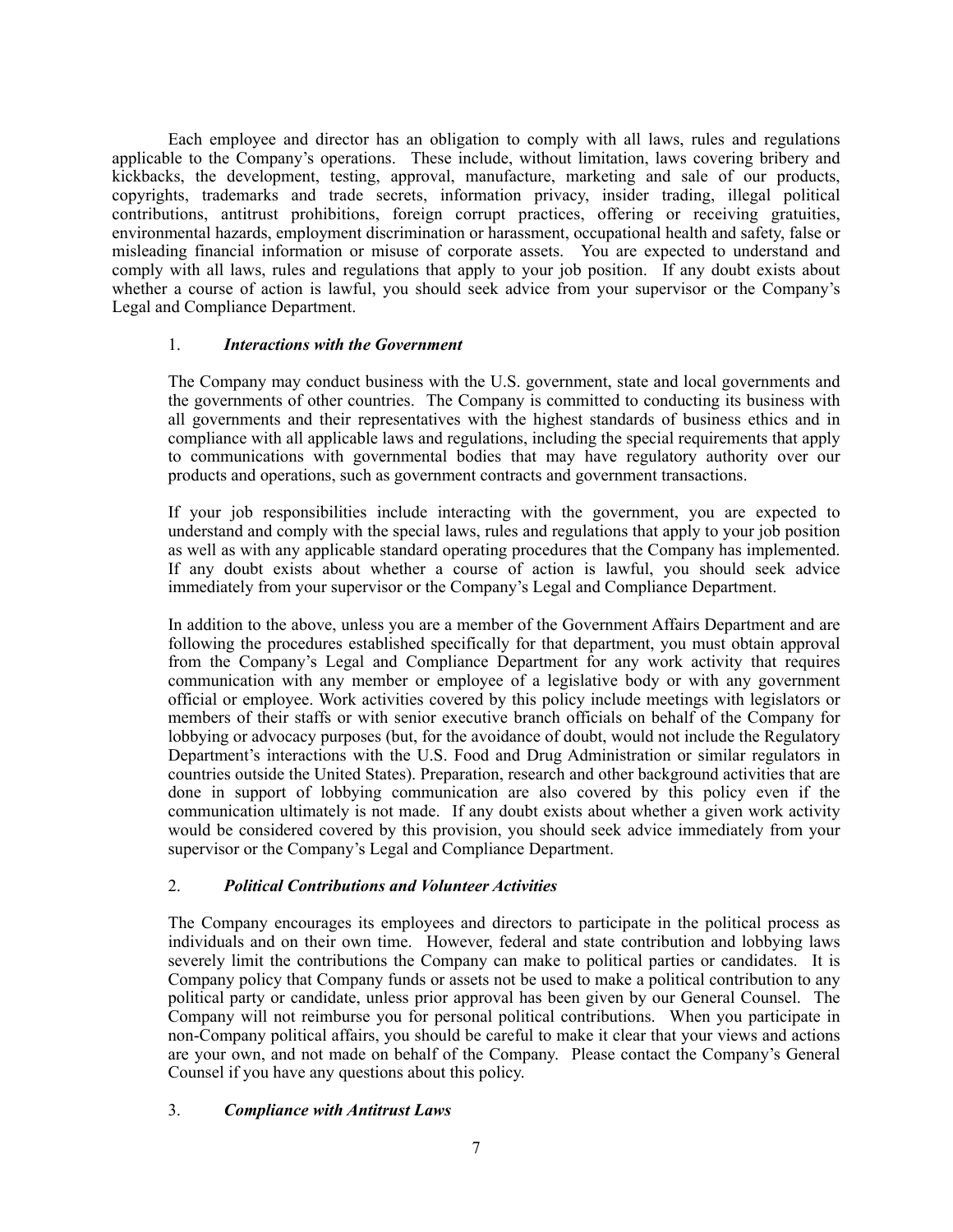Each employee and director has an obligation to comply with all laws, rules and regulations applicable to the Company's operations. These include, without limitation, laws covering bribery and kickbacks, the development, testing, approval, manufacture, marketing and sale of our products, copyrights, trademarks and trade secrets, information privacy, insider trading, illegal political contributions, antitrust prohibitions, foreign corrupt practices, offering or receiving gratuities, environmental hazards, employment discrimination or harassment, occupational health and safety, false or misleading financial information or misuse of corporate assets. You are expected to understand and comply with all laws, rules and regulations that apply to your job position. If any doubt exists about whether a course of action is lawful, you should seek advice from your supervisor or the Company's Legal and Compliance Department.

### 1. *Interactions with the Government*

The Company may conduct business with the U.S. government, state and local governments and the governments of other countries. The Company is committed to conducting its business with all governments and their representatives with the highest standards of business ethics and in compliance with all applicable laws and regulations, including the special requirements that apply to communications with governmental bodies that may have regulatory authority over our products and operations, such as government contracts and government transactions.

If your job responsibilities include interacting with the government, you are expected to understand and comply with the special laws, rules and regulations that apply to your job position as well as with any applicable standard operating procedures that the Company has implemented. If any doubt exists about whether a course of action is lawful, you should seek advice immediately from your supervisor or the Company's Legal and Compliance Department.

In addition to the above, unless you are a member of the Government Affairs Department and are following the procedures established specifically for that department, you must obtain approval from the Company's Legal and Compliance Department for any work activity that requires communication with any member or employee of a legislative body or with any government official or employee. Work activities covered by this policy include meetings with legislators or members of their staffs or with senior executive branch officials on behalf of the Company for lobbying or advocacy purposes (but, for the avoidance of doubt, would not include the Regulatory Department's interactions with the U.S. Food and Drug Administration or similar regulators in countries outside the United States). Preparation, research and other background activities that are done in support of lobbying communication are also covered by this policy even if the communication ultimately is not made. If any doubt exists about whether a given work activity would be considered covered by this provision, you should seek advice immediately from your supervisor or the Company's Legal and Compliance Department.

## 2. *Political Contributions and Volunteer Activities*

The Company encourages its employees and directors to participate in the political process as individuals and on their own time. However, federal and state contribution and lobbying laws severely limit the contributions the Company can make to political parties or candidates. It is Company policy that Company funds or assets not be used to make a political contribution to any political party or candidate, unless prior approval has been given by our General Counsel. The Company will not reimburse you for personal political contributions. When you participate in non-Company political affairs, you should be careful to make it clear that your views and actions are your own, and not made on behalf of the Company. Please contact the Company's General Counsel if you have any questions about this policy.

## 3. *Compliance with Antitrust Laws*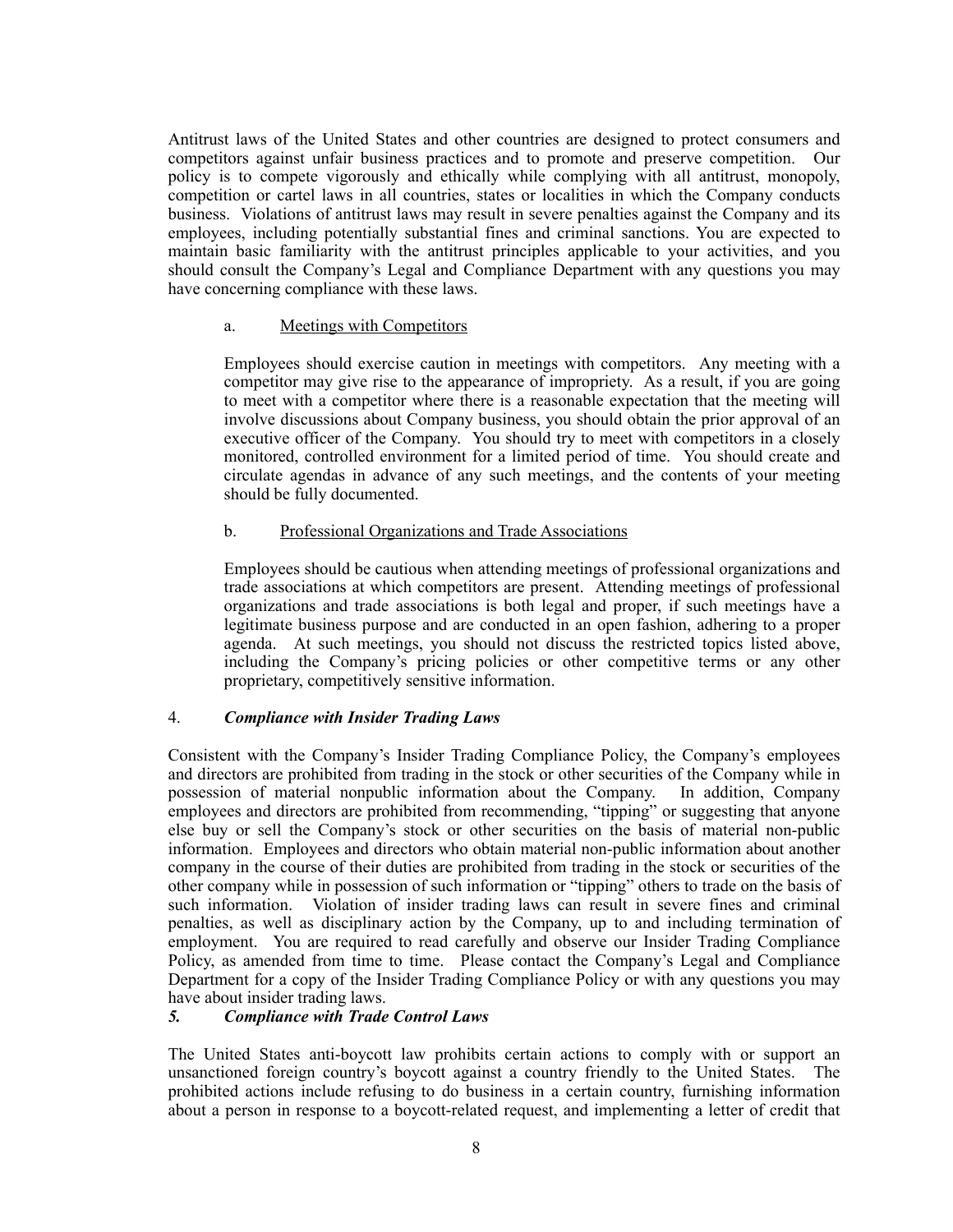Antitrust laws of the United States and other countries are designed to protect consumers and competitors against unfair business practices and to promote and preserve competition. Our policy is to compete vigorously and ethically while complying with all antitrust, monopoly, competition or cartel laws in all countries, states or localities in which the Company conducts business. Violations of antitrust laws may result in severe penalties against the Company and its employees, including potentially substantial fines and criminal sanctions. You are expected to maintain basic familiarity with the antitrust principles applicable to your activities, and you should consult the Company's Legal and Compliance Department with any questions you may have concerning compliance with these laws.

### a. Meetings with Competitors

Employees should exercise caution in meetings with competitors. Any meeting with a competitor may give rise to the appearance of impropriety. As a result, if you are going to meet with a competitor where there is a reasonable expectation that the meeting will involve discussions about Company business, you should obtain the prior approval of an executive officer of the Company. You should try to meet with competitors in a closely monitored, controlled environment for a limited period of time. You should create and circulate agendas in advance of any such meetings, and the contents of your meeting should be fully documented.

## b. Professional Organizations and Trade Associations

Employees should be cautious when attending meetings of professional organizations and trade associations at which competitors are present. Attending meetings of professional organizations and trade associations is both legal and proper, if such meetings have a legitimate business purpose and are conducted in an open fashion, adhering to a proper agenda. At such meetings, you should not discuss the restricted topics listed above, including the Company's pricing policies or other competitive terms or any other proprietary, competitively sensitive information.

## 4. *Compliance with Insider Trading Laws*

Consistent with the Company's Insider Trading Compliance Policy, the Company's employees and directors are prohibited from trading in the stock or other securities of the Company while in possession of material nonpublic information about the Company. In addition, Company employees and directors are prohibited from recommending, "tipping" or suggesting that anyone else buy or sell the Company's stock or other securities on the basis of material non-public information. Employees and directors who obtain material non-public information about another company in the course of their duties are prohibited from trading in the stock or securities of the other company while in possession of such information or "tipping" others to trade on the basis of such information. Violation of insider trading laws can result in severe fines and criminal penalties, as well as disciplinary action by the Company, up to and including termination of employment. You are required to read carefully and observe our Insider Trading Compliance Policy, as amended from time to time. Please contact the Company's Legal and Compliance Department for a copy of the Insider Trading Compliance Policy or with any questions you may have about insider trading laws.

## *5. Compliance with Trade Control Laws*

The United States anti-boycott law prohibits certain actions to comply with or support an unsanctioned foreign country's boycott against a country friendly to the United States. The prohibited actions include refusing to do business in a certain country, furnishing information about a person in response to a boycott-related request, and implementing a letter of credit that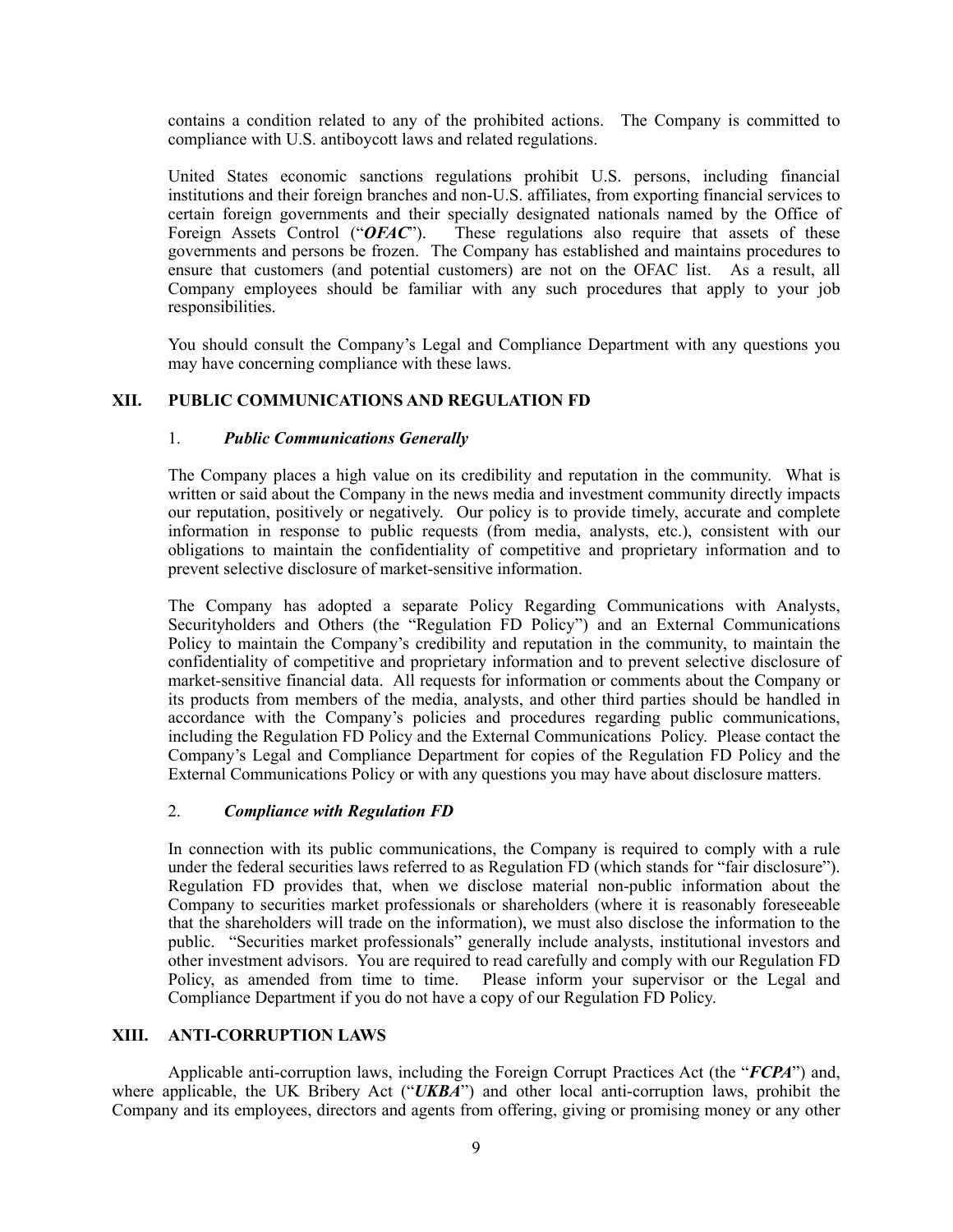contains a condition related to any of the prohibited actions. The Company is committed to compliance with U.S. antiboycott laws and related regulations.

United States economic sanctions regulations prohibit U.S. persons, including financial institutions and their foreign branches and non-U.S. affiliates, from exporting financial services to certain foreign governments and their specially designated nationals named by the Office of Foreign Assets Control (" $OFAC$ "). These regulations also require that assets of these These regulations also require that assets of these governments and persons be frozen. The Company has established and maintains procedures to ensure that customers (and potential customers) are not on the OFAC list. As a result, all Company employees should be familiar with any such procedures that apply to your job responsibilities.

You should consult the Company's Legal and Compliance Department with any questions you may have concerning compliance with these laws.

### **XII. PUBLIC COMMUNICATIONS AND REGULATION FD**

### 1. *Public Communications Generally*

The Company places a high value on its credibility and reputation in the community. What is written or said about the Company in the news media and investment community directly impacts our reputation, positively or negatively. Our policy is to provide timely, accurate and complete information in response to public requests (from media, analysts, etc.), consistent with our obligations to maintain the confidentiality of competitive and proprietary information and to prevent selective disclosure of market-sensitive information.

The Company has adopted a separate Policy Regarding Communications with Analysts, Securityholders and Others (the "Regulation FD Policy") and an External Communications Policy to maintain the Company's credibility and reputation in the community, to maintain the confidentiality of competitive and proprietary information and to prevent selective disclosure of market-sensitive financial data. All requests for information or comments about the Company or its products from members of the media, analysts, and other third parties should be handled in accordance with the Company's policies and procedures regarding public communications, including the Regulation FD Policy and the External Communications Policy. Please contact the Company's Legal and Compliance Department for copies of the Regulation FD Policy and the External Communications Policy or with any questions you may have about disclosure matters.

#### 2. *Compliance with Regulation FD*

In connection with its public communications, the Company is required to comply with a rule under the federal securities laws referred to as Regulation FD (which stands for "fair disclosure"). Regulation FD provides that, when we disclose material non-public information about the Company to securities market professionals or shareholders (where it is reasonably foreseeable that the shareholders will trade on the information), we must also disclose the information to the public. "Securities market professionals" generally include analysts, institutional investors and other investment advisors. You are required to read carefully and comply with our Regulation FD Policy, as amended from time to time. Please inform your supervisor or the Legal and Compliance Department if you do not have a copy of our Regulation FD Policy.

#### **XIII. ANTI-CORRUPTION LAWS**

Applicable anti-corruption laws, including the Foreign Corrupt Practices Act (the "*FCPA*") and, where applicable, the UK Bribery Act ("*UKBA*") and other local anti-corruption laws, prohibit the Company and its employees, directors and agents from offering, giving or promising money or any other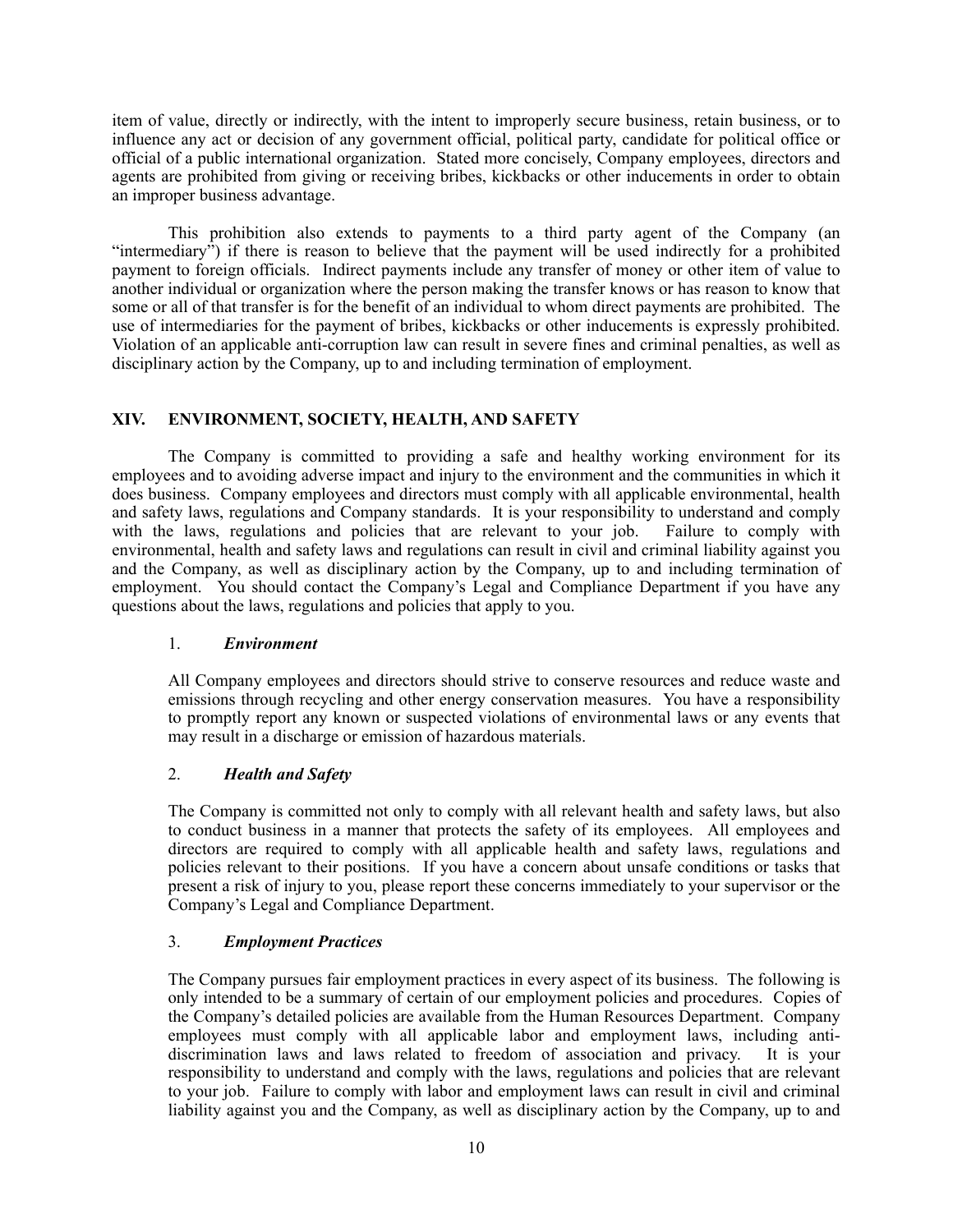item of value, directly or indirectly, with the intent to improperly secure business, retain business, or to influence any act or decision of any government official, political party, candidate for political office or official of a public international organization. Stated more concisely, Company employees, directors and agents are prohibited from giving or receiving bribes, kickbacks or other inducements in order to obtain an improper business advantage.

This prohibition also extends to payments to a third party agent of the Company (an "intermediary") if there is reason to believe that the payment will be used indirectly for a prohibited payment to foreign officials. Indirect payments include any transfer of money or other item of value to another individual or organization where the person making the transfer knows or has reason to know that some or all of that transfer is for the benefit of an individual to whom direct payments are prohibited. The use of intermediaries for the payment of bribes, kickbacks or other inducements is expressly prohibited. Violation of an applicable anti-corruption law can result in severe fines and criminal penalties, as well as disciplinary action by the Company, up to and including termination of employment.

## **XIV. ENVIRONMENT, SOCIETY, HEALTH, AND SAFETY**

The Company is committed to providing a safe and healthy working environment for its employees and to avoiding adverse impact and injury to the environment and the communities in which it does business. Company employees and directors must comply with all applicable environmental, health and safety laws, regulations and Company standards. It is your responsibility to understand and comply with the laws, regulations and policies that are relevant to your job. Failure to comply with environmental, health and safety laws and regulations can result in civil and criminal liability against you and the Company, as well as disciplinary action by the Company, up to and including termination of employment. You should contact the Company's Legal and Compliance Department if you have any questions about the laws, regulations and policies that apply to you.

## 1. *Environment*

All Company employees and directors should strive to conserve resources and reduce waste and emissions through recycling and other energy conservation measures. You have a responsibility to promptly report any known or suspected violations of environmental laws or any events that may result in a discharge or emission of hazardous materials.

## 2. *Health and Safety*

The Company is committed not only to comply with all relevant health and safety laws, but also to conduct business in a manner that protects the safety of its employees. All employees and directors are required to comply with all applicable health and safety laws, regulations and policies relevant to their positions. If you have a concern about unsafe conditions or tasks that present a risk of injury to you, please report these concerns immediately to your supervisor or the Company's Legal and Compliance Department.

## 3. *Employment Practices*

The Company pursues fair employment practices in every aspect of its business. The following is only intended to be a summary of certain of our employment policies and procedures. Copies of the Company's detailed policies are available from the Human Resources Department. Company employees must comply with all applicable labor and employment laws, including anti-<br>discrimination laws and laws related to freedom of association and privacy. It is your discrimination laws and laws related to freedom of association and privacy. responsibility to understand and comply with the laws, regulations and policies that are relevant to your job. Failure to comply with labor and employment laws can result in civil and criminal liability against you and the Company, as well as disciplinary action by the Company, up to and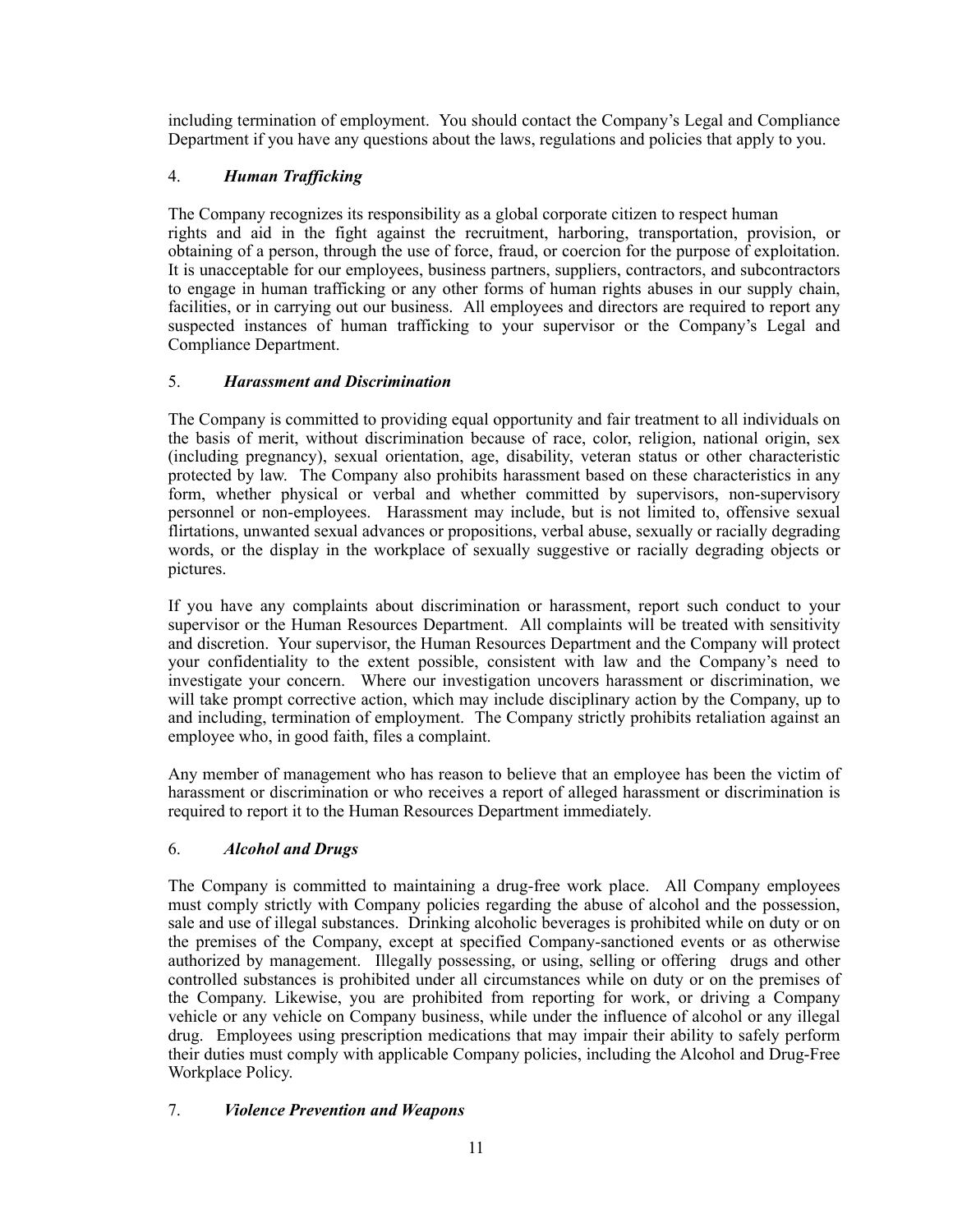including termination of employment. You should contact the Company's Legal and Compliance Department if you have any questions about the laws, regulations and policies that apply to you.

# 4. *Human Trafficking*

The Company recognizes its responsibility as a global corporate citizen to respect human rights and aid in the fight against the recruitment, harboring, transportation, provision, or obtaining of a person, through the use of force, fraud, or coercion for the purpose of exploitation. It is unacceptable for our employees, business partners, suppliers, contractors, and subcontractors to engage in human trafficking or any other forms of human rights abuses in our supply chain, facilities, or in carrying out our business. All employees and directors are required to report any suspected instances of human trafficking to your supervisor or the Company's Legal and Compliance Department.

# 5. *Harassment and Discrimination*

The Company is committed to providing equal opportunity and fair treatment to all individuals on the basis of merit, without discrimination because of race, color, religion, national origin, sex (including pregnancy), sexual orientation, age, disability, veteran status or other characteristic protected by law. The Company also prohibits harassment based on these characteristics in any form, whether physical or verbal and whether committed by supervisors, non-supervisory personnel or non-employees. Harassment may include, but is not limited to, offensive sexual flirtations, unwanted sexual advances or propositions, verbal abuse, sexually or racially degrading words, or the display in the workplace of sexually suggestive or racially degrading objects or pictures.

If you have any complaints about discrimination or harassment, report such conduct to your supervisor or the Human Resources Department. All complaints will be treated with sensitivity and discretion. Your supervisor, the Human Resources Department and the Company will protect your confidentiality to the extent possible, consistent with law and the Company's need to investigate your concern. Where our investigation uncovers harassment or discrimination, we will take prompt corrective action, which may include disciplinary action by the Company, up to and including, termination of employment. The Company strictly prohibits retaliation against an employee who, in good faith, files a complaint.

Any member of management who has reason to believe that an employee has been the victim of harassment or discrimination or who receives a report of alleged harassment or discrimination is required to report it to the Human Resources Department immediately.

# 6. *Alcohol and Drugs*

The Company is committed to maintaining a drug-free work place. All Company employees must comply strictly with Company policies regarding the abuse of alcohol and the possession, sale and use of illegal substances. Drinking alcoholic beverages is prohibited while on duty or on the premises of the Company, except at specified Company-sanctioned events or as otherwise authorized by management. Illegally possessing, or using, selling or offering drugs and other controlled substances is prohibited under all circumstances while on duty or on the premises of the Company. Likewise, you are prohibited from reporting for work, or driving a Company vehicle or any vehicle on Company business, while under the influence of alcohol or any illegal drug. Employees using prescription medications that may impair their ability to safely perform their duties must comply with applicable Company policies, including the Alcohol and Drug-Free Workplace Policy.

# 7. *Violence Prevention and Weapons*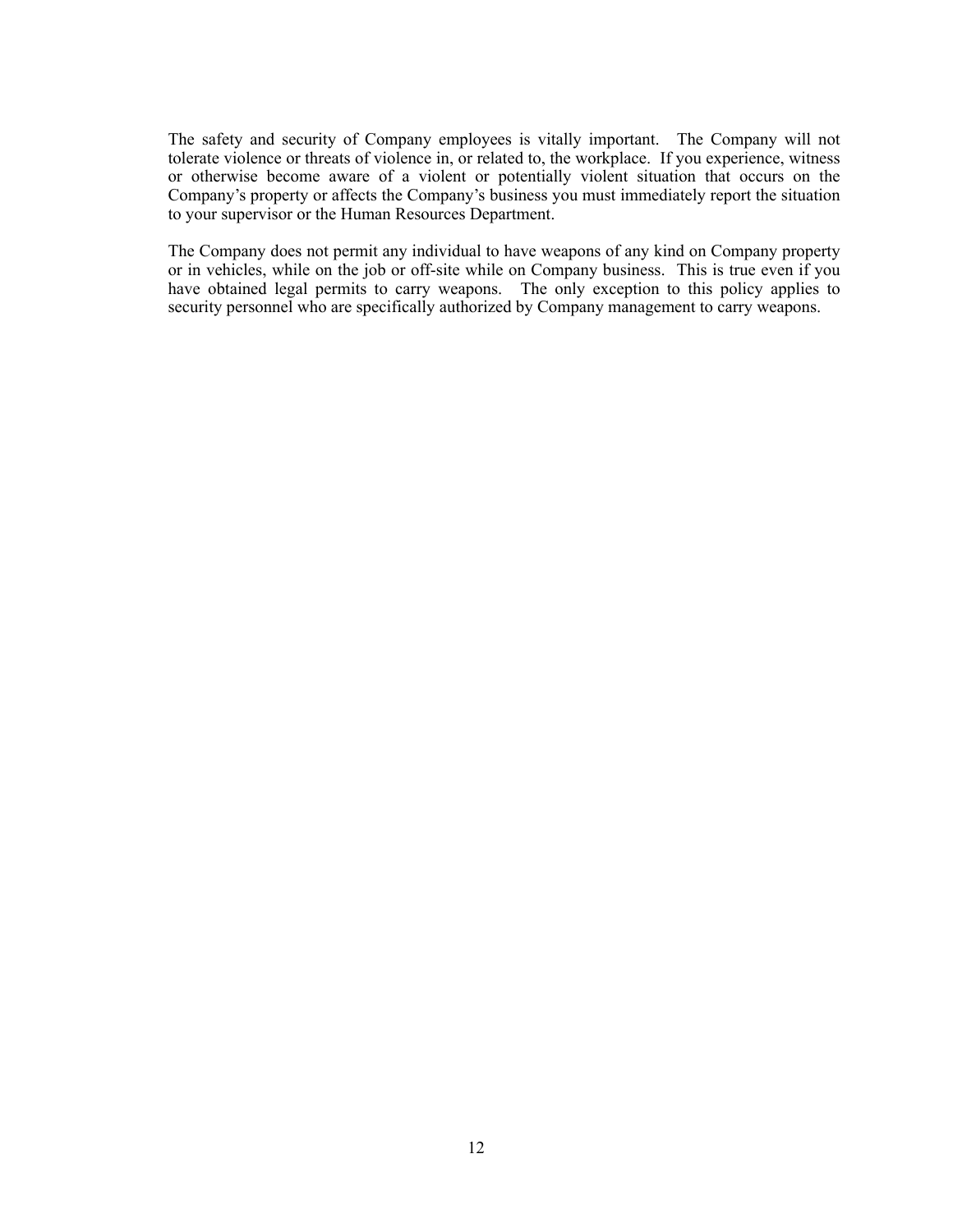The safety and security of Company employees is vitally important. The Company will not tolerate violence or threats of violence in, or related to, the workplace. If you experience, witness or otherwise become aware of a violent or potentially violent situation that occurs on the Company's property or affects the Company's business you must immediately report the situation to your supervisor or the Human Resources Department.

The Company does not permit any individual to have weapons of any kind on Company property or in vehicles, while on the job or off-site while on Company business. This is true even if you have obtained legal permits to carry weapons. The only exception to this policy applies to security personnel who are specifically authorized by Company management to carry weapons.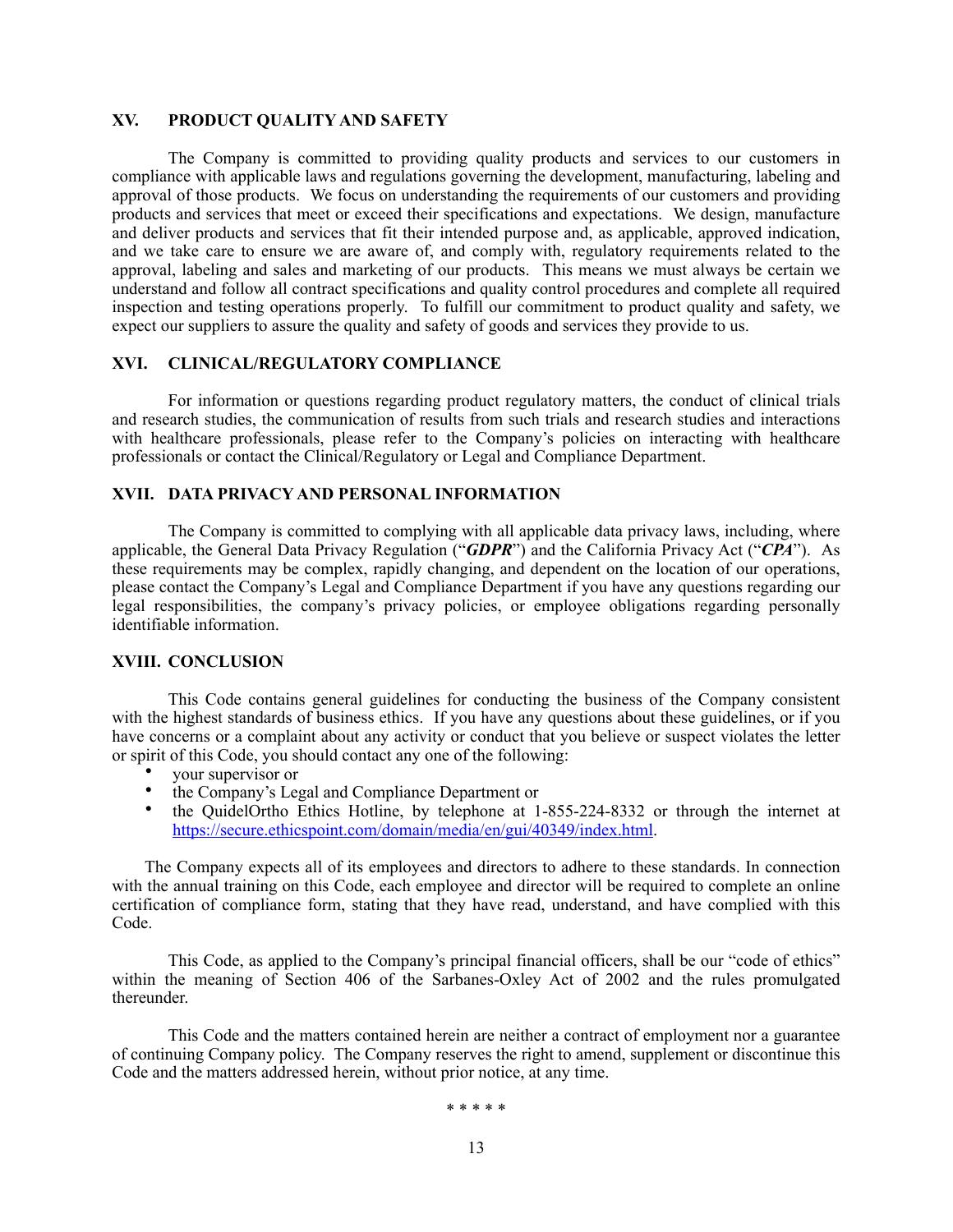### **XV. PRODUCT QUALITY AND SAFETY**

The Company is committed to providing quality products and services to our customers in compliance with applicable laws and regulations governing the development, manufacturing, labeling and approval of those products. We focus on understanding the requirements of our customers and providing products and services that meet or exceed their specifications and expectations. We design, manufacture and deliver products and services that fit their intended purpose and, as applicable, approved indication, and we take care to ensure we are aware of, and comply with, regulatory requirements related to the approval, labeling and sales and marketing of our products. This means we must always be certain we understand and follow all contract specifications and quality control procedures and complete all required inspection and testing operations properly. To fulfill our commitment to product quality and safety, we expect our suppliers to assure the quality and safety of goods and services they provide to us.

## **XVI. CLINICAL/REGULATORY COMPLIANCE**

For information or questions regarding product regulatory matters, the conduct of clinical trials and research studies, the communication of results from such trials and research studies and interactions with healthcare professionals, please refer to the Company's policies on interacting with healthcare professionals or contact the Clinical/Regulatory or Legal and Compliance Department.

#### **XVII. DATA PRIVACY AND PERSONAL INFORMATION**

The Company is committed to complying with all applicable data privacy laws, including, where applicable, the General Data Privacy Regulation ("*GDPR*") and the California Privacy Act ("*CPA*"). As these requirements may be complex, rapidly changing, and dependent on the location of our operations, please contact the Company's Legal and Compliance Department if you have any questions regarding our legal responsibilities, the company's privacy policies, or employee obligations regarding personally identifiable information.

#### **XVIII. CONCLUSION**

This Code contains general guidelines for conducting the business of the Company consistent with the highest standards of business ethics. If you have any questions about these guidelines, or if you have concerns or a complaint about any activity or conduct that you believe or suspect violates the letter or spirit of this Code, you should contact any one of the following:

- your supervisor or
- the Company's Legal and Compliance Department or<br>• the QuidelOrtho Ethics Hotline, by telephone at 1.
- the QuidelOrtho Ethics Hotline, by telephone at 1-855-224-8332 or through the internet at [https://secure.ethicspoint.com/domain/media/en/gui/40349/index.html.](https://secure.ethicspoint.com/domain/media/en/gui/40349/index.html)

The Company expects all of its employees and directors to adhere to these standards. In connection with the annual training on this Code, each employee and director will be required to complete an online certification of compliance form, stating that they have read, understand, and have complied with this Code.

This Code, as applied to the Company's principal financial officers, shall be our "code of ethics" within the meaning of Section 406 of the Sarbanes-Oxley Act of 2002 and the rules promulgated thereunder.

This Code and the matters contained herein are neither a contract of employment nor a guarantee of continuing Company policy. The Company reserves the right to amend, supplement or discontinue this Code and the matters addressed herein, without prior notice, at any time.

\* \* \* \* \*